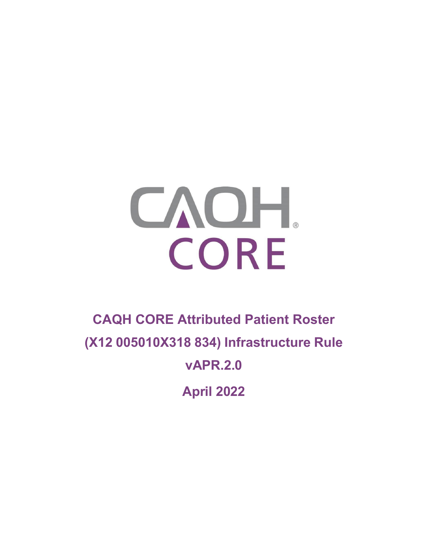# CAOH. CORE

# **CAQH CORE Attributed Patient Roster (X12 005010X318 834) Infrastructure Rule vAPR.2.0**

**April 2022**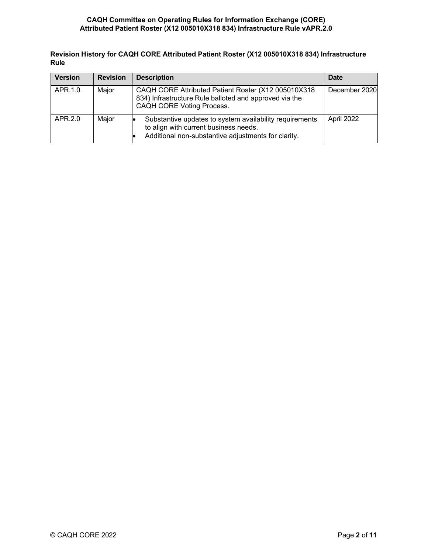**Revision History for CAQH CORE Attributed Patient Roster (X12 005010X318 834) Infrastructure Rule**

| <b>Version</b> | <b>Revision</b> | <b>Description</b>                                                                                                                                      | <b>Date</b>   |
|----------------|-----------------|---------------------------------------------------------------------------------------------------------------------------------------------------------|---------------|
| APR.1.0        | Major           | CAQH CORE Attributed Patient Roster (X12 005010X318<br>834) Infrastructure Rule balloted and approved via the<br>CAQH CORE Voting Process.              | December 2020 |
| APR.2.0        | Major           | Substantive updates to system availability requirements<br>to align with current business needs.<br>Additional non-substantive adjustments for clarity. | April 2022    |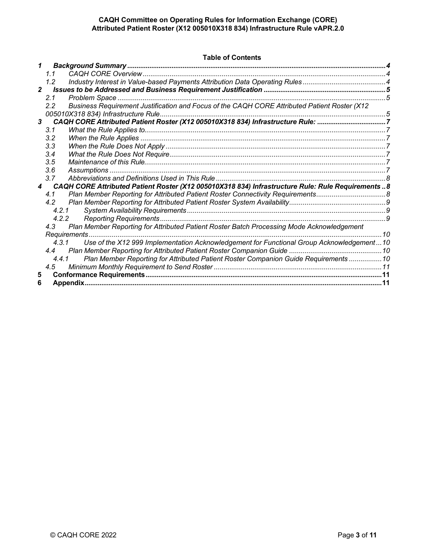#### **Table of Contents**

| 1              |               |                                                                                                    |  |  |  |
|----------------|---------------|----------------------------------------------------------------------------------------------------|--|--|--|
|                | 1.1           |                                                                                                    |  |  |  |
|                | 1.2           |                                                                                                    |  |  |  |
| $\overline{2}$ |               |                                                                                                    |  |  |  |
|                | 2.1           |                                                                                                    |  |  |  |
|                | $2.2^{\circ}$ | Business Requirement Justification and Focus of the CAQH CORE Attributed Patient Roster (X12       |  |  |  |
|                |               | 005010X318 834) Infrastructure Rule                                                                |  |  |  |
| 3              |               | CAQH CORE Attributed Patient Roster (X12 005010X318 834) Infrastructure Rule: 7                    |  |  |  |
|                | 3.1           |                                                                                                    |  |  |  |
|                | 3.2           |                                                                                                    |  |  |  |
|                | 3.3           |                                                                                                    |  |  |  |
|                | 3.4           |                                                                                                    |  |  |  |
|                | 3.5           |                                                                                                    |  |  |  |
|                | 3.6           |                                                                                                    |  |  |  |
|                | 3.7           |                                                                                                    |  |  |  |
| $\overline{4}$ |               | CAQH CORE Attributed Patient Roster (X12 005010X318 834) Infrastructure Rule: Rule Requirements  8 |  |  |  |
|                | 4.1           |                                                                                                    |  |  |  |
|                | 4.2           |                                                                                                    |  |  |  |
|                |               | 4.2.1                                                                                              |  |  |  |
|                |               | 4.2.2                                                                                              |  |  |  |
|                | 4.3           | Plan Member Reporting for Attributed Patient Roster Batch Processing Mode Acknowledgement          |  |  |  |
|                |               | 10<br>Requirements.                                                                                |  |  |  |
|                |               | Use of the X12 999 Implementation Acknowledgement for Functional Group Acknowledgement10<br>4.3.1  |  |  |  |
|                | 4.4           |                                                                                                    |  |  |  |
|                |               | Plan Member Reporting for Attributed Patient Roster Companion Guide Requirements  10<br>4.4.1      |  |  |  |
|                | 4.5           |                                                                                                    |  |  |  |
| 5              |               |                                                                                                    |  |  |  |
| 6              |               |                                                                                                    |  |  |  |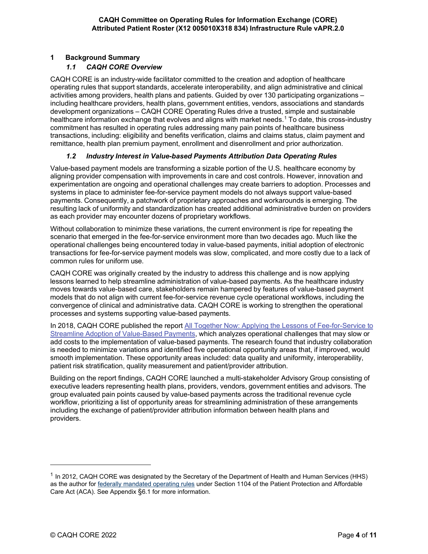#### <span id="page-3-1"></span><span id="page-3-0"></span>**1 Background Summary**

#### *1.1 CAQH CORE Overview*

CAQH CORE is an industry-wide facilitator committed to the creation and adoption of healthcare operating rules that support standards, accelerate interoperability, and align administrative and clinical activities among providers, health plans and patients. Guided by over 130 participating organizations – including healthcare providers, health plans, government entities, vendors, associations and standards development organizations – CAQH CORE Operating Rules drive a trusted, simple and sustainable healthcare information exchange that evolves and aligns with market needs. [1](#page-3-3) To date, this cross-industry commitment has resulted in operating rules addressing many pain points of healthcare business transactions, including: eligibility and benefits verification, claims and claims status, claim payment and remittance, health plan premium payment, enrollment and disenrollment and prior authorization.

#### *1.2 Industry Interest in Value-based Payments Attribution Data Operating Rules*

<span id="page-3-2"></span>Value-based payment models are transforming a sizable portion of the U.S. healthcare economy by aligning provider compensation with improvements in care and cost controls. However, innovation and experimentation are ongoing and operational challenges may create barriers to adoption. Processes and systems in place to administer fee-for-service payment models do not always support value-based payments. Consequently, a patchwork of proprietary approaches and workarounds is emerging. The resulting lack of uniformity and standardization has created additional administrative burden on providers as each provider may encounter dozens of proprietary workflows.

Without collaboration to minimize these variations, the current environment is ripe for repeating the scenario that emerged in the fee-for-service environment more than two decades ago. Much like the operational challenges being encountered today in value-based payments, initial adoption of electronic transactions for fee-for-service payment models was slow, complicated, and more costly due to a lack of common rules for uniform use.

CAQH CORE was originally created by the industry to address this challenge and is now applying lessons learned to help streamline administration of value-based payments. As the healthcare industry moves towards value-based care, stakeholders remain hampered by features of value-based payment models that do not align with current fee-for-service revenue cycle operational workflows, including the convergence of clinical and administrative data. CAQH CORE is working to strengthen the operational processes and systems supporting value-based payments.

In 2018, CAQH CORE published the report All Together Now: Applying the Lessons of Fee-for-Service to Streamline Adoption of Value-Based Payments, which analyzes operational challenges that may slow or add costs to the implementation of value-based payments. The research found that industry collaboration is needed to minimize variations and identified five operational opportunity areas that, if improved, would smooth implementation. These opportunity areas included: data quality and uniformity, interoperability, patient risk stratification, quality measurement and patient/provider attribution.

Building on the report findings, CAQH CORE launched a multi-stakeholder Advisory Group consisting of executive leaders representing health plans, providers, vendors, government entities and advisors. The group evaluated pain points caused by value-based payments across the traditional revenue cycle workflow, prioritizing a list of opportunity areas for streamlining administration of these arrangements including the exchange of patient/provider attribution information between health plans and providers.

<span id="page-3-3"></span> $1$  In 2012, CAQH CORE was designated by the Secretary of the Department of Health and Human Services (HHS) as the author for federally mandated operating rules under Section 1104 of the Patient Protection and Affordable Care Act (ACA). See Appendix §6.1 for more information.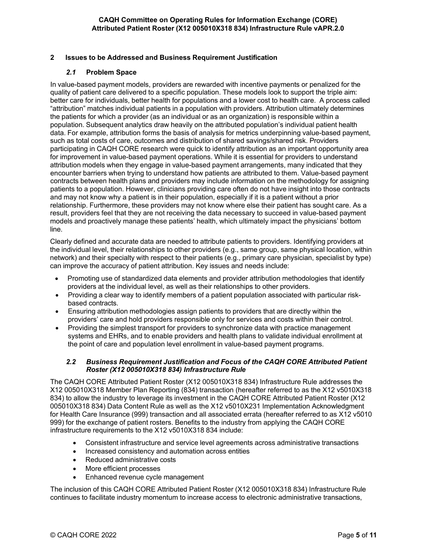#### <span id="page-4-1"></span><span id="page-4-0"></span>**2 Issues to be Addressed and Business Requirement Justification**

#### *2.1* **Problem Space**

In value-based payment models, providers are rewarded with incentive payments or penalized for the quality of patient care delivered to a specific population. These models look to support the triple aim: better care for individuals, better health for populations and a lower cost to health care. A process called "attribution" matches individual patients in a population with providers. Attribution ultimately determines the patients for which a provider (as an individual or as an organization) is responsible within a population. Subsequent analytics draw heavily on the attributed population's individual patient health data. For example, attribution forms the basis of analysis for metrics underpinning value-based payment, such as total costs of care, outcomes and distribution of shared savings/shared risk. Providers participating in CAQH CORE research were quick to identify attribution as an important opportunity area for improvement in value-based payment operations. While it is essential for providers to understand attribution models when they engage in value-based payment arrangements, many indicated that they encounter barriers when trying to understand how patients are attributed to them. Value-based payment contracts between health plans and providers may include information on the methodology for assigning patients to a population. However, clinicians providing care often do not have insight into those contracts and may not know why a patient is in their population, especially if it is a patient without a prior relationship. Furthermore, these providers may not know where else their patient has sought care. As a result, providers feel that they are not receiving the data necessary to succeed in value-based payment models and proactively manage these patients' health, which ultimately impact the physicians' bottom line.

Clearly defined and accurate data are needed to attribute patients to providers. Identifying providers at the individual level, their relationships to other providers (e.g., same group, same physical location, within network) and their specialty with respect to their patients (e.g., primary care physician, specialist by type) can improve the accuracy of patient attribution. Key issues and needs include:

- Promoting use of standardized data elements and provider attribution methodologies that identify providers at the individual level, as well as their relationships to other providers.
- Providing a clear way to identify members of a patient population associated with particular riskbased contracts.
- Ensuring attribution methodologies assign patients to providers that are directly within the providers' care and hold providers responsible only for services and costs within their control.
- Providing the simplest transport for providers to synchronize data with practice management systems and EHRs, and to enable providers and health plans to validate individual enrollment at the point of care and population level enrollment in value-based payment programs.

#### <span id="page-4-2"></span>*2.2 Business Requirement Justification and Focus of the CAQH CORE Attributed Patient Roster (X12 005010X318 834) Infrastructure Rule*

The CAQH CORE Attributed Patient Roster (X12 005010X318 834) Infrastructure Rule addresses the X12 005010X318 Member Plan Reporting (834) transaction (hereafter referred to as the X12 v5010X318 834) to allow the industry to leverage its investment in the CAQH CORE Attributed Patient Roster (X12 005010X318 834) Data Content Rule as well as the X12 v5010X231 Implementation Acknowledgment for Health Care Insurance (999) transaction and all associated errata (hereafter referred to as X12 v5010 999) for the exchange of patient rosters. Benefits to the industry from applying the CAQH CORE infrastructure requirements to the X12 v5010X318 834 include:

- Consistent infrastructure and service level agreements across administrative transactions
- Increased consistency and automation across entities
- Reduced administrative costs
- More efficient processes
- Enhanced revenue cycle management

The inclusion of this CAQH CORE Attributed Patient Roster (X12 005010X318 834) Infrastructure Rule continues to facilitate industry momentum to increase access to electronic administrative transactions,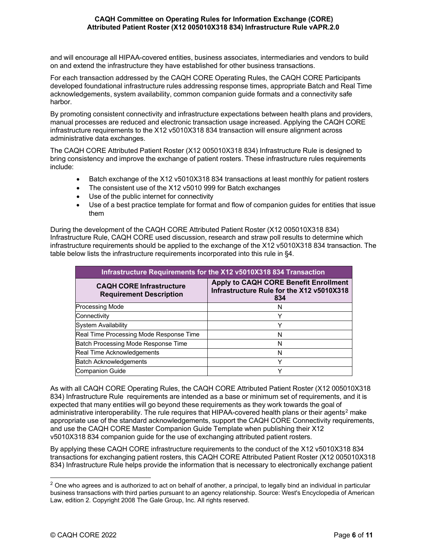and will encourage all HIPAA-covered entities, business associates, intermediaries and vendors to build on and extend the infrastructure they have established for other business transactions.

For each transaction addressed by the CAQH CORE Operating Rules, the CAQH CORE Participants developed foundational infrastructure rules addressing response times, appropriate Batch and Real Time acknowledgements, system availability, common companion guide formats and a connectivity safe harbor.

By promoting consistent connectivity and infrastructure expectations between health plans and providers, manual processes are reduced and electronic transaction usage increased. Applying the CAQH CORE infrastructure requirements to the X12 v5010X318 834 transaction will ensure alignment across administrative data exchanges.

The CAQH CORE Attributed Patient Roster (X12 005010X318 834) Infrastructure Rule is designed to bring consistency and improve the exchange of patient rosters. These infrastructure rules requirements include:

- Batch exchange of the X12 v5010X318 834 transactions at least monthly for patient rosters
- The consistent use of the X12 v5010 999 for Batch exchanges
- Use of the public internet for connectivity
- Use of a best practice template for format and flow of companion guides for entities that issue them

During the development of the CAQH CORE Attributed Patient Roster (X12 005010X318 834) Infrastructure Rule, CAQH CORE used discussion, research and straw poll results to determine which infrastructure requirements should be applied to the exchange of the X12 v5010X318 834 transaction. The table below lists the infrastructure requirements incorporated into this rule in §4.

| Infrastructure Requirements for the X12 v5010X318 834 Transaction |                                                                                                  |  |  |  |
|-------------------------------------------------------------------|--------------------------------------------------------------------------------------------------|--|--|--|
| <b>CAQH CORE Infrastructure</b><br><b>Requirement Description</b> | <b>Apply to CAQH CORE Benefit Enrollment</b><br>Infrastructure Rule for the X12 v5010X318<br>834 |  |  |  |
| <b>Processing Mode</b>                                            |                                                                                                  |  |  |  |
| Connectivity                                                      |                                                                                                  |  |  |  |
| <b>System Availability</b>                                        |                                                                                                  |  |  |  |
| Real Time Processing Mode Response Time                           | N                                                                                                |  |  |  |
| Batch Processing Mode Response Time                               | N                                                                                                |  |  |  |
| Real Time Acknowledgements                                        | N                                                                                                |  |  |  |
| <b>Batch Acknowledgements</b>                                     | $\check{ }$                                                                                      |  |  |  |
| Companion Guide                                                   | v                                                                                                |  |  |  |

As with all CAQH CORE Operating Rules, the CAQH CORE Attributed Patient Roster (X12 005010X318 834) Infrastructure Rule requirements are intended as a base or minimum set of requirements, and it is expected that many entities will go beyond these requirements as they work towards the goal of administrative interoperability. The rule requires that HIPAA-covered health plans or their agents<sup>[2](#page-5-0)</sup> make appropriate use of the standard acknowledgements, support the CAQH CORE Connectivity requirements, and use the CAQH CORE Master Companion Guide Template when publishing their X12 v5010X318 834 companion guide for the use of exchanging attributed patient rosters.

By applying these CAQH CORE infrastructure requirements to the conduct of the X12 v5010X318 834 transactions for exchanging patient rosters, this CAQH CORE Attributed Patient Roster (X12 005010X318 834) Infrastructure Rule helps provide the information that is necessary to electronically exchange patient

<span id="page-5-0"></span> $2$  One who agrees and is authorized to act on behalf of another, a principal, to legally bind an individual in particular business transactions with third parties pursuant to an agency relationship. Source: West's Encyclopedia of American Law, edition 2. Copyright 2008 The Gale Group, Inc. All rights reserved.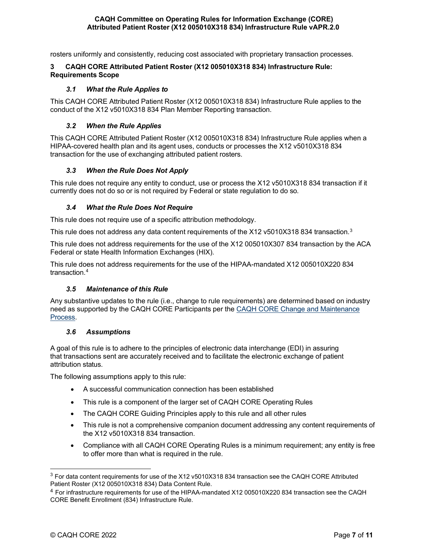rosters uniformly and consistently, reducing cost associated with proprietary transaction processes.

#### <span id="page-6-0"></span>**3 CAQH CORE Attributed Patient Roster (X12 005010X318 834) Infrastructure Rule: Requirements Scope**

#### *3.1 What the Rule Applies to*

<span id="page-6-1"></span>This CAQH CORE Attributed Patient Roster (X12 005010X318 834) Infrastructure Rule applies to the conduct of the X12 v5010X318 834 Plan Member Reporting transaction.

#### *3.2 When the Rule Applies*

<span id="page-6-2"></span>This CAQH CORE Attributed Patient Roster (X12 005010X318 834) Infrastructure Rule applies when a HIPAA-covered health plan and its agent uses, conducts or processes the X12 v5010X318 834 transaction for the use of exchanging attributed patient rosters.

#### *3.3 When the Rule Does Not Apply*

<span id="page-6-3"></span>This rule does not require any entity to conduct, use or process the X12 v5010X318 834 transaction if it currently does not do so or is not required by Federal or state regulation to do so.

#### *3.4 What the Rule Does Not Require*

<span id="page-6-4"></span>This rule does not require use of a specific attribution methodology.

This rule does not address any data content requirements of the X12 v5010X[3](#page-6-7)18 834 transaction.<sup>3</sup>

This rule does not address requirements for the use of the X12 005010X307 834 transaction by the ACA Federal or state Health Information Exchanges (HIX).

This rule does not address requirements for the use of the HIPAA-mandated X12 005010X220 834 transaction.[4](#page-6-8)

#### *3.5 Maintenance of this Rule*

<span id="page-6-5"></span>Any substantive updates to the rule (i.e., change to rule requirements) are determined based on industry need as supported by the CAQH CORE Participants per the CAQH CORE Change and Maintenance Process.

#### <span id="page-6-6"></span>*3.6 Assumptions*

A goal of this rule is to adhere to the principles of electronic data interchange (EDI) in assuring that transactions sent are accurately received and to facilitate the electronic exchange of patient attribution status.

The following assumptions apply to this rule:

- A successful communication connection has been established
- This rule is a component of the larger set of CAQH CORE Operating Rules
- The CAQH CORE Guiding Principles apply to this rule and all other rules
- This rule is not a comprehensive companion document addressing any content requirements of the X12 v5010X318 834 transaction.
- Compliance with all CAQH CORE Operating Rules is a minimum requirement; any entity is free to offer more than what is required in the rule.

<span id="page-6-7"></span><sup>3</sup> For data content requirements for use of the X12 v5010X318 834 transaction see the CAQH CORE Attributed Patient Roster (X12 005010X318 834) Data Content Rule.

<span id="page-6-8"></span><sup>4</sup> For infrastructure requirements for use of the HIPAA-mandated X12 005010X220 834 transaction see the CAQH CORE Benefit Enrollment (834) Infrastructure Rule.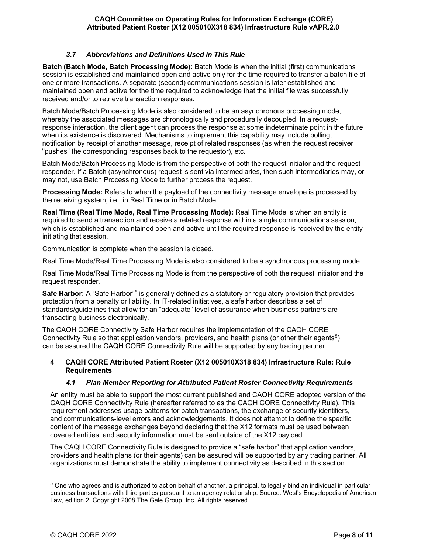#### *3.7 Abbreviations and Definitions Used in This Rule*

<span id="page-7-0"></span>**Batch (Batch Mode, Batch Processing Mode):** Batch Mode is when the initial (first) communications session is established and maintained open and active only for the time required to transfer a batch file of one or more transactions. A separate (second) communications session is later established and maintained open and active for the time required to acknowledge that the initial file was successfully received and/or to retrieve transaction responses.

Batch Mode/Batch Processing Mode is also considered to be an asynchronous processing mode, whereby the associated messages are chronologically and procedurally decoupled. In a requestresponse interaction, the client agent can process the response at some indeterminate point in the future when its existence is discovered. Mechanisms to implement this capability may include polling, notification by receipt of another message, receipt of related responses (as when the request receiver "pushes" the corresponding responses back to the requestor), etc.

Batch Mode/Batch Processing Mode is from the perspective of both the request initiator and the request responder. If a Batch (asynchronous) request is sent via intermediaries, then such intermediaries may, or may not, use Batch Processing Mode to further process the request.

**Processing Mode:** Refers to when the payload of the connectivity message envelope is processed by the receiving system, i.e., in Real Time or in Batch Mode.

**Real Time (Real Time Mode, Real Time Processing Mode):** Real Time Mode is when an entity is required to send a transaction and receive a related response within a single communications session, which is established and maintained open and active until the required response is received by the entity initiating that session.

Communication is complete when the session is closed.

Real Time Mode/Real Time Processing Mode is also considered to be a synchronous processing mode.

Real Time Mode/Real Time Processing Mode is from the perspective of both the request initiator and the request responder.

**Safe Harbor:** A "Safe Harbor"5 is generally defined as a statutory or regulatory provision that provides protection from a penalty or liability. In IT-related initiatives, a safe harbor describes a set of standards/guidelines that allow for an "adequate" level of assurance when business partners are transacting business electronically.

The CAQH CORE Connectivity Safe Harbor requires the implementation of the CAQH CORE Connectivity Rule so that application vendors, providers, and health plans (or other their agents<sup>[5](#page-7-3)</sup>) can be assured the CAQH CORE Connectivity Rule will be supported by any trading partner.

#### <span id="page-7-1"></span>**4 CAQH CORE Attributed Patient Roster (X12 005010X318 834) Infrastructure Rule: Rule Requirements**

#### *4.1 Plan Member Reporting for Attributed Patient Roster Connectivity Requirements*

<span id="page-7-2"></span>An entity must be able to support the most current published and CAQH CORE adopted version of the CAQH CORE Connectivity Rule (hereafter referred to as the CAQH CORE Connectivity Rule). This requirement addresses usage patterns for batch transactions, the exchange of security identifiers, and communications-level errors and acknowledgements. It does not attempt to define the specific content of the message exchanges beyond declaring that the X12 formats must be used between covered entities, and security information must be sent outside of the X12 payload.

The CAQH CORE Connectivity Rule is designed to provide a "safe harbor" that application vendors, providers and health plans (or their agents) can be assured will be supported by any trading partner. All organizations must demonstrate the ability to implement connectivity as described in this section.

<span id="page-7-3"></span> $5$  One who agrees and is authorized to act on behalf of another, a principal, to legally bind an individual in particular business transactions with third parties pursuant to an agency relationship. Source: West's Encyclopedia of American Law, edition 2. Copyright 2008 The Gale Group, Inc. All rights reserved.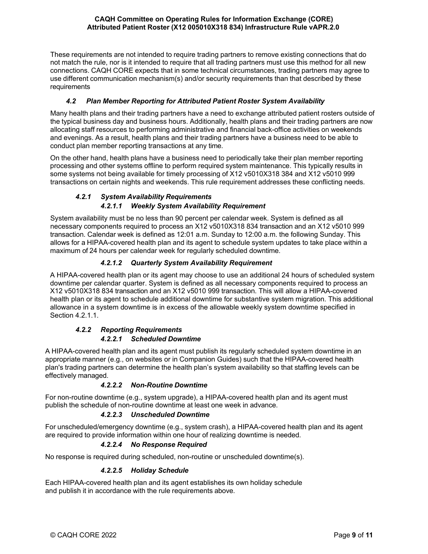These requirements are not intended to require trading partners to remove existing connections that do not match the rule, nor is it intended to require that all trading partners must use this method for all new connections. CAQH CORE expects that in some technical circumstances, trading partners may agree to use different communication mechanism(s) and/or security requirements than that described by these requirements

# *4.2 Plan Member Reporting for Attributed Patient Roster System Availability*

<span id="page-8-0"></span>Many health plans and their trading partners have a need to exchange attributed patient rosters outside of the typical business day and business hours. Additionally, health plans and their trading partners are now allocating staff resources to performing administrative and financial back-office activities on weekends and evenings. As a result, health plans and their trading partners have a business need to be able to conduct plan member reporting transactions at any time.

On the other hand, health plans have a business need to periodically take their plan member reporting processing and other systems offline to perform required system maintenance. This typically results in some systems not being available for timely processing of X12 v5010X318 384 and X12 v5010 999 transactions on certain nights and weekends. This rule requirement addresses these conflicting needs.

# *4.2.1 System Availability Requirements 4.2.1.1 Weekly System Availability Requirement*

<span id="page-8-1"></span>System availability must be no less than 90 percent per calendar week. System is defined as all necessary components required to process an X12 v5010X318 834 transaction and an X12 v5010 999 transaction. Calendar week is defined as 12:01 a.m. Sunday to 12:00 a.m. the following Sunday. This allows for a HIPAA-covered health plan and its agent to schedule system updates to take place within a maximum of 24 hours per calendar week for regularly scheduled downtime.

# *4.2.1.2 Quarterly System Availability Requirement*

A HIPAA-covered health plan or its agent may choose to use an additional 24 hours of scheduled system downtime per calendar quarter. System is defined as all necessary components required to process an X12 v5010X318 834 transaction and an X12 v5010 999 transaction. This will allow a HIPAA-covered health plan or its agent to schedule additional downtime for substantive system migration. This additional allowance in a system downtime is in excess of the allowable weekly system downtime specified in Section 4.2.1.1.

# *4.2.2 Reporting Requirements*

# *4.2.2.1 Scheduled Downtime*

<span id="page-8-2"></span>A HIPAA-covered health plan and its agent must publish its regularly scheduled system downtime in an appropriate manner (e.g., on websites or in Companion Guides) such that the HIPAA-covered health plan's trading partners can determine the health plan's system availability so that staffing levels can be effectively managed.

# *4.2.2.2 Non-Routine Downtime*

For non-routine downtime (e.g., system upgrade), a HIPAA-covered health plan and its agent must publish the schedule of non-routine downtime at least one week in advance.

# *4.2.2.3 Unscheduled Downtime*

For unscheduled/emergency downtime (e.g., system crash), a HIPAA-covered health plan and its agent are required to provide information within one hour of realizing downtime is needed.

# *4.2.2.4 No Response Required*

No response is required during scheduled, non-routine or unscheduled downtime(s).

#### *4.2.2.5 Holiday Schedule*

Each HIPAA-covered health plan and its agent establishes its own holiday schedule and publish it in accordance with the rule requirements above.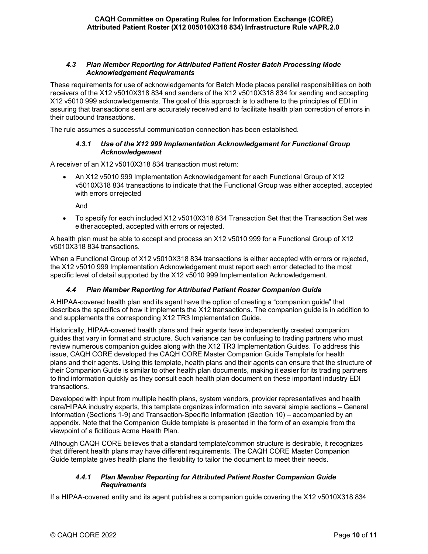#### <span id="page-9-0"></span>*4.3 Plan Member Reporting for Attributed Patient Roster Batch Processing Mode Acknowledgement Requirements*

These requirements for use of acknowledgements for Batch Mode places parallel responsibilities on both receivers of the X12 v5010X318 834 and senders of the X12 v5010X318 834 for sending and accepting X12 v5010 999 acknowledgements. The goal of this approach is to adhere to the principles of EDI in assuring that transactions sent are accurately received and to facilitate health plan correction of errors in their outbound transactions.

<span id="page-9-1"></span>The rule assumes a successful communication connection has been established.

#### *4.3.1 Use of the X12 999 Implementation Acknowledgement for Functional Group Acknowledgement*

A receiver of an X12 v5010X318 834 transaction must return:

• An X12 v5010 999 Implementation Acknowledgement for each Functional Group of X12 v5010X318 834 transactions to indicate that the Functional Group was either accepted, accepted with errors orrejected

And

• To specify for each included X12 v5010X318 834 Transaction Set that the Transaction Set was either accepted, accepted with errors or rejected.

A health plan must be able to accept and process an X12 v5010 999 for a Functional Group of X12 v5010X318 834 transactions.

When a Functional Group of X12 v5010X318 834 transactions is either accepted with errors or rejected, the X12 v5010 999 Implementation Acknowledgement must report each error detected to the most specific level of detail supported by the X12 v5010 999 Implementation Acknowledgement.

#### *4.4 Plan Member Reporting for Attributed Patient Roster Companion Guide*

<span id="page-9-2"></span>A HIPAA-covered health plan and its agent have the option of creating a "companion guide" that describes the specifics of how it implements the X12 transactions. The companion guide is in addition to and supplements the corresponding X12 TR3 Implementation Guide.

Historically, HIPAA-covered health plans and their agents have independently created companion guides that vary in format and structure. Such variance can be confusing to trading partners who must review numerous companion guides along with the X12 TR3 Implementation Guides. To address this issue, CAQH CORE developed the CAQH CORE Master Companion Guide Template for health plans and their agents. Using this template, health plans and their agents can ensure that the structure of their Companion Guide is similar to other health plan documents, making it easier for its trading partners to find information quickly as they consult each health plan document on these important industry EDI transactions.

Developed with input from multiple health plans, system vendors, provider representatives and health care/HIPAA industry experts, this template organizes information into several simple sections – General Information (Sections 1-9) and Transaction-Specific Information (Section 10) – accompanied by an appendix. Note that the Companion Guide template is presented in the form of an example from the viewpoint of a fictitious Acme Health Plan.

Although CAQH CORE believes that a standard template/common structure is desirable, it recognizes that different health plans may have different requirements. The CAQH CORE Master Companion Guide template gives health plans the flexibility to tailor the document to meet their needs.

#### *4.4.1 Plan Member Reporting for Attributed Patient Roster Companion Guide Requirements*

<span id="page-9-3"></span>If a HIPAA-covered entity and its agent publishes a companion guide covering the X12 v5010X318 834